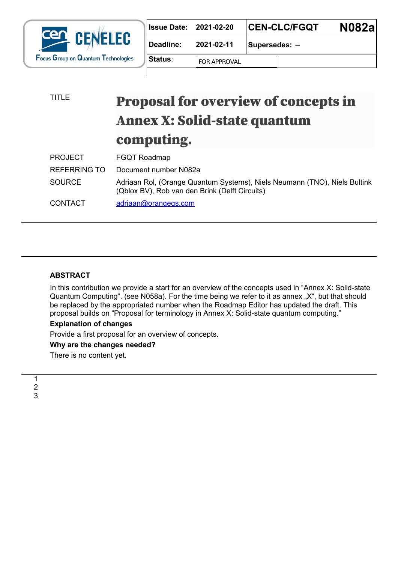

| <b>Issue Date: 2021-02-20</b> |                     | <b>N082al</b><br><b>CEN-CLC/FGQT</b> |  |
|-------------------------------|---------------------|--------------------------------------|--|
| Deadline:                     | 2021-02-11          | Supersedes: -                        |  |
| ∣Status∶                      | <b>FOR APPROVAL</b> | $\blacktriangledown$                 |  |

# TITLE **Proposal for overview of concepts in** Annex X: Solid-state quantum computing.

| <b>PROJECT</b> | <b>FGQT Roadmap</b>                                                                                                         |
|----------------|-----------------------------------------------------------------------------------------------------------------------------|
| REFERRING TO   | Document number N082a                                                                                                       |
| <b>SOURCE</b>  | Adriaan Rol, (Orange Quantum Systems), Niels Neumann (TNO), Niels Bultink<br>(Qblox BV), Rob van den Brink (Delft Circuits) |
| <b>CONTACT</b> | adriaan@orangegs.com                                                                                                        |

# **ABSTRACT**

In this contribution we provide a start for an overview of the concepts used in "Annex X: Solid-state" Quantum Computing". (see N058a). For the time being we refer to it as annex "X", but that should be replaced by the appropriated number when the Roadmap Editor has updated the draft. This proposal builds on "Proposal for terminology in Annex X: Solid-state quantum computing."

## **Explanation of changes**

Provide a first proposal for an overview of concepts.

## **Why are the changes needed?**

There is no content yet.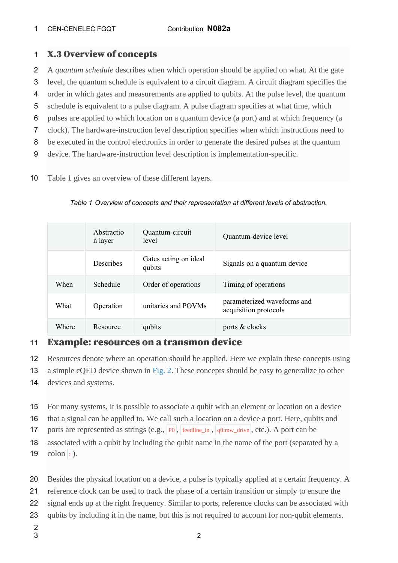#### CEN-CENELEC FGQT Contribution **N082a** 1

## X.3 Overview of concepts 1

- A *quantum schedule* describes when which operation should be applied on what. At the gate 2
- level, the quantum schedule is equivalent to a circuit diagram. A circuit diagram specifies the 3
- order in which gates and measurements are applied to qubits. At the pulse level, the quantum 4
- schedule is equivalent to a pulse diagram. A pulse diagram specifies at what time, which 5
- pulses are applied to which location on a quantum device (a port) and at which frequency (a 6
- clock). The hardware-instruction level description specifies when which instructions need to 7
- be executed in the control electronics in order to generate the desired pulses at the quantum 8
- device. The hardware-instruction level description is implementation-specific. 9
- Table 1 gives an overview of these different layers. 10

|       | Abstractio<br>n layer | Quantum-circuit<br>level        | Quantum-device level                                 |
|-------|-----------------------|---------------------------------|------------------------------------------------------|
|       | Describes             | Gates acting on ideal<br>qubits | Signals on a quantum device                          |
| When  | Schedule              | Order of operations             | Timing of operations                                 |
| What  | Operation             | unitaries and POVMs             | parameterized waveforms and<br>acquisition protocols |
| Where | Resource              | qubits                          | ports & clocks                                       |

*Table 1 Overview of concepts and their representation at different levels of abstraction.*

### Example: resources on a transmon device 11

- Resources denote where an operation should be applied. Here we explain these concepts using 12
- a simple cQED device shown in [Fig. 2](http://localhost:8000/standardization/Annex_X_solid-state_Quantum_Computing.html#resources-fig). These concepts should be easy to generalize to other 13
- devices and systems. 14
- For many systems, it is possible to associate a qubit with an element or location on a device 15
- that a signal can be applied to. We call such a location on a device a port. Here, qubits and 16
- ports are represented as strings (e.g., |P0 , |feedline\_in , |q0:mw\_drive , etc.). A port can be 17
- associated with a qubit by including the qubit name in the name of the port (separated by a colon : ). 18 19
- Besides the physical location on a device, a pulse is typically applied at a certain frequency. A 20
- reference clock can be used to track the phase of a certain transition or simply to ensure the 21
- signal ends up at the right frequency. Similar to ports, reference clocks can be associated with 22
- qubits by including it in the name, but this is not required to account for non-qubit elements. 23
- 2 3